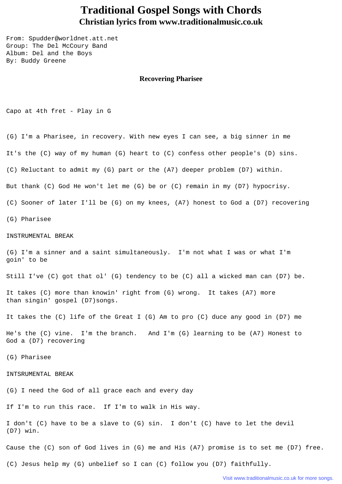## **Traditional Gospel Songs with Chords Christian lyrics from www.traditionalmusic.co.uk**

From: Spudder@worldnet.att.net Group: The Del McCoury Band Album: Del and the Boys By: Buddy Greene

## **Recovering Pharisee**

Capo at 4th fret - Play in G

(G) I'm a Pharisee, in recovery. With new eyes I can see, a big sinner in me It's the (C) way of my human (G) heart to (C) confess other people's (D) sins. (C) Reluctant to admit my (G) part or the (A7) deeper problem (D7) within. But thank (C) God He won't let me (G) be or (C) remain in my (D7) hypocrisy. (C) Sooner of later I'll be (G) on my knees, (A7) honest to God a (D7) recovering (G) Pharisee INSTRUMENTAL BREAK (G) I'm a sinner and a saint simultaneously. I'm not what I was or what I'm goin' to be Still I've (C) got that ol' (G) tendency to be (C) all a wicked man can (D7) be. It takes (C) more than knowin' right from (G) wrong. It takes (A7) more than singin' gospel (D7)songs. It takes the (C) life of the Great I (G) Am to pro (C) duce any good in (D7) me He's the (C) vine. I'm the branch. And I'm (G) learning to be (A7) Honest to God a (D7) recovering (G) Pharisee INTSRUMENTAL BREAK (G) I need the God of all grace each and every day If I'm to run this race. If I'm to walk in His way.

I don't (C) have to be a slave to (G) sin. I don't (C) have to let the devil (D7) win.

Cause the (C) son of God lives in (G) me and His (A7) promise is to set me (D7) free.

(C) Jesus help my (G) unbelief so I can (C) follow you (D7) faithfully.